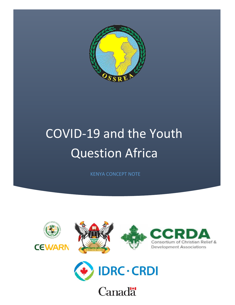

## COVID-19 and the Youth Question Africa

KENYA CONCEPT NOTE





**Canadä**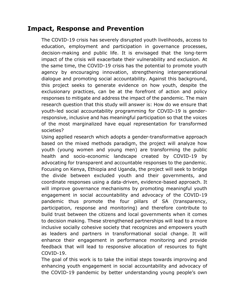## **Impact, Response and Prevention**

The COVID-19 crisis has severely disrupted youth livelihoods, access to education, employment and participation in governance processes, decision-making and public life. It is envisaged that the long-term impact of the crisis will exacerbate their vulnerability and exclusion. At the same time, the COVID-19 crisis has the potential to promote youth agency by encouraging innovation, strengthening intergenerational dialogue and promoting social accountability. Against this background, this project seeks to generate evidence on how youth, despite the exclusionary practices, can be at the forefront of action and policy responses to mitigate and address the impact of the pandemic. The main research question that this study will answer is: How do we ensure that youth-led social accountability programming for COVID-19 is genderresponsive, inclusive and has meaningful participation so that the voices of the most marginalized have equal representation for transformed societies?

Using applied research which adopts a gender-transformative approach based on the mixed methods paradigm, the project will analyze how youth (young women and young men) are transforming the public health and socio-economic landscape created by COVID-19 by advocating for transparent and accountable responses to the pandemic. Focusing on Kenya, Ethiopia and Uganda, the project will seek to bridge the divide between excluded youth and their governments, and coordinate responses using a data-driven, evidence-based approach. It will improve governance mechanisms by promoting meaningful youth engagement in social accountability and advocacy of the COVID-19 pandemic thus promote the four pillars of SA (transparency, participation, response and monitoring) and therefore contribute to build trust between the citizens and local governments when it comes to decision making. These strengthened partnerships will lead to a more inclusive socially cohesive society that recognizes and empowers youth as leaders and partners in transformational social change. It will enhance their engagement in performance monitoring and provide feedback that will lead to responsive allocation of resources to fight COVID-19.

The goal of this work is to take the initial steps towards improving and enhancing youth engagement in social accountability and advocacy of the COVID-19 pandemic by better understanding young people's own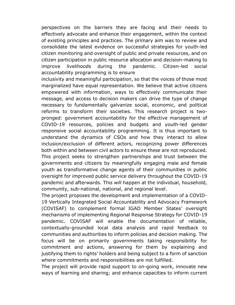perspectives on the barriers they are facing and their needs to effectively advocate and enhance their engagement, within the context of existing principles and practices. The primary aim was to review and consolidate the latest evidence on successful strategies for youth-led citizen monitoring and oversight of public and private resources, and on citizen participation in public resource allocation and decision-making to improve livelihoods during the pandemic. Citizen-led social accountability programming is to ensure

inclusivity and meaningful participation, so that the voices of those most marginalized have equal representation. We believe that active citizens empowered with information, ways to effectively communicate their message, and access to decision makers can drive the type of change necessary to fundamentally galvanize social, economic, and political reforms to transform their societies. This research project is twopronged: government accountability for the effective management of COVID-19 resources, policies and budgets and youth-led gender responsive social accountability programming. It is thus important to understand the dynamics of CSOs and how they interact to allow inclusion/exclusion of different actors, recognizing power differences both within and between civil actors to ensure these are not reproduced. This project seeks to strengthen partnerships and trust between the governments and citizens by meaningfully engaging male and female youth as transformative change agents of their communities in public oversight for improved public service delivery throughout the COVID-19 pandemic and afterwards. This will happen at the individual, household, community, sub-national, national, and regional level.

The project proposes the development and implementation of a COVID-19 Vertically Integrated Social Accountability and Advocacy Framework (COVISAF) to complement formal IGAD Member States' oversight mechanisms of implementing Regional Response Strategy for COVID-19 pandemic. COVISAF will enable the documentation of reliable, contextually-grounded local data analysis and rapid feedback to communities and authorities to inform policies and decision making. The focus will be on primarily governments taking responsibility for commitment and actions, answering for them by explaining and justifying them to rights' holders and being subject to a form of sanction where commitments and responsibilities are not fulfilled.

The project will provide rapid support to on-going work, innovate new ways of learning and sharing; and enhance capacities to inform current